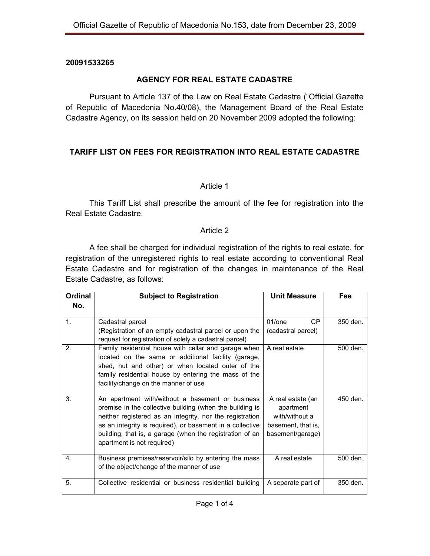### **20091533265**

## **AGENCY FOR REAL ESTATE CADASTRE**

 Pursuant to Article 137 of the Law on Real Estate Cadastre ("Official Gazette of Republic of Macedonia No.40/08), the Management Board of the Real Estate Cadastre Agency, on its session held on 20 November 2009 adopted the following:

## **TARIFF LIST ON FEES FOR REGISTRATION INTO REAL ESTATE CADASTRE**

### Article 1

This Tariff List shall prescribe the amount of the fee for registration into the Real Estate Cadastre.

### Article 2

A fee shall be charged for individual registration of the rights to real estate, for registration of the unregistered rights to real estate according to conventional Real Estate Cadastre and for registration of the changes in maintenance of the Real Estate Cadastre, as follows:

| <b>Ordinal</b> | <b>Subject to Registration</b>                                                                                                                                                                                                                                                                                                  | <b>Unit Measure</b>                                                                        | Fee      |
|----------------|---------------------------------------------------------------------------------------------------------------------------------------------------------------------------------------------------------------------------------------------------------------------------------------------------------------------------------|--------------------------------------------------------------------------------------------|----------|
| No.            |                                                                                                                                                                                                                                                                                                                                 |                                                                                            |          |
| 1 <sub>1</sub> | Cadastral parcel                                                                                                                                                                                                                                                                                                                | 01/one<br>CP.                                                                              | 350 den. |
|                | (Registration of an empty cadastral parcel or upon the<br>request for registration of solely a cadastral parcel)                                                                                                                                                                                                                | (cadastral parcel)                                                                         |          |
| 2.             | Family residential house with cellar and garage when<br>located on the same or additional facility (garage,<br>shed, hut and other) or when located outer of the<br>family residential house by entering the mass of the<br>facility/change on the manner of use                                                                | A real estate                                                                              | 500 den. |
| 3.             | An apartment with/without a basement or business<br>premise in the collective building (when the building is<br>neither registered as an integrity, nor the registration<br>as an integrity is required), or basement in a collective<br>building, that is, a garage (when the registration of an<br>apartment is not required) | A real estate (an<br>apartment<br>with/without a<br>basement, that is,<br>basement/garage) | 450 den. |
| 4.             | Business premises/reservoir/silo by entering the mass<br>of the object/change of the manner of use                                                                                                                                                                                                                              | A real estate                                                                              | 500 den. |
| 5.             | Collective residential or business residential building                                                                                                                                                                                                                                                                         | A separate part of                                                                         | 350 den. |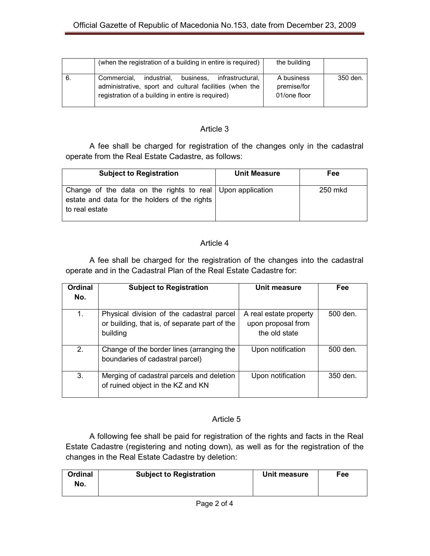|    | (when the registration of a building in entire is required)                                                                                                                 | the building                              |          |
|----|-----------------------------------------------------------------------------------------------------------------------------------------------------------------------------|-------------------------------------------|----------|
| 6. | business.<br>infrastructural.<br>industrial,<br>Commercial,<br>administrative, sport and cultural facilities (when the<br>registration of a building in entire is required) | A business<br>premise/for<br>01/one floor | 350 den. |

### Article 3

A fee shall be charged for registration of the changes only in the cadastral operate from the Real Estate Cadastre, as follows:

| <b>Subject to Registration</b>                                                                                                 | <b>Unit Measure</b> | Fee     |
|--------------------------------------------------------------------------------------------------------------------------------|---------------------|---------|
| Change of the data on the rights to real   Upon application<br>estate and data for the holders of the rights<br>to real estate |                     | 250 mkd |

## Article 4

A fee shall be charged for the registration of the changes into the cadastral operate and in the Cadastral Plan of the Real Estate Cadastre for:

| Ordinal<br>No. | <b>Subject to Registration</b>                                                                         | Unit measure                                                  | Fee        |
|----------------|--------------------------------------------------------------------------------------------------------|---------------------------------------------------------------|------------|
| 1.             | Physical division of the cadastral parcel<br>or building, that is, of separate part of the<br>building | A real estate property<br>upon proposal from<br>the old state | 500 den.   |
| 2.             | Change of the border lines (arranging the<br>boundaries of cadastral parcel)                           | Upon notification                                             | 500 den.   |
| 3.             | Merging of cadastral parcels and deletion<br>of ruined object in the KZ and KN                         | Upon notification                                             | $350$ den. |

## Article 5

A following fee shall be paid for registration of the rights and facts in the Real Estate Cadastre (registering and noting down), as well as for the registration of the changes in the Real Estate Cadastre by deletion:

| <b>Ordinal</b><br>No. | <b>Subject to Registration</b> | Unit measure | Fee |
|-----------------------|--------------------------------|--------------|-----|
|                       |                                |              |     |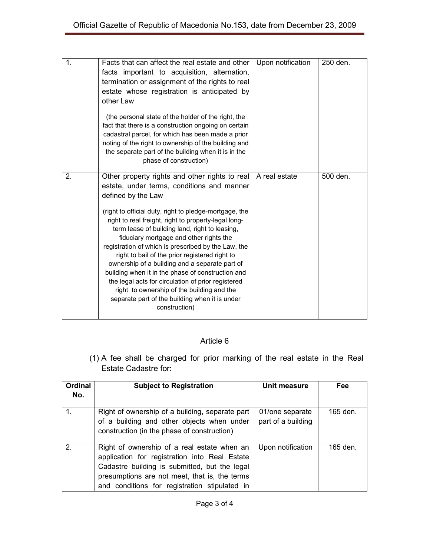| 1. | Facts that can affect the real estate and other<br>facts important to acquisition, alternation,<br>termination or assignment of the rights to real<br>estate whose registration is anticipated by<br>other Law<br>(the personal state of the holder of the right, the<br>fact that there is a construction ongoing on certain<br>cadastral parcel, for which has been made a prior                                                                                                                                                                                                                 | Upon notification | 250 den. |
|----|----------------------------------------------------------------------------------------------------------------------------------------------------------------------------------------------------------------------------------------------------------------------------------------------------------------------------------------------------------------------------------------------------------------------------------------------------------------------------------------------------------------------------------------------------------------------------------------------------|-------------------|----------|
|    | noting of the right to ownership of the building and<br>the separate part of the building when it is in the<br>phase of construction)                                                                                                                                                                                                                                                                                                                                                                                                                                                              |                   |          |
| 2. | Other property rights and other rights to real<br>estate, under terms, conditions and manner<br>defined by the Law                                                                                                                                                                                                                                                                                                                                                                                                                                                                                 | A real estate     | 500 den. |
|    | (right to official duty, right to pledge-mortgage, the<br>right to real freight, right to property-legal long-<br>term lease of building land, right to leasing,<br>fiduciary mortgage and other rights the<br>registration of which is prescribed by the Law, the<br>right to bail of the prior registered right to<br>ownership of a building and a separate part of<br>building when it in the phase of construction and<br>the legal acts for circulation of prior registered<br>right to ownership of the building and the<br>separate part of the building when it is under<br>construction) |                   |          |

# Article 6

(1) A fee shall be charged for prior marking of the real estate in the Real Estate Cadastre for:

| <b>Ordinal</b><br>No. | <b>Subject to Registration</b>                                                                                                                                                                                                                  | Unit measure                          | Fee      |
|-----------------------|-------------------------------------------------------------------------------------------------------------------------------------------------------------------------------------------------------------------------------------------------|---------------------------------------|----------|
|                       | Right of ownership of a building, separate part<br>of a building and other objects when under<br>construction (in the phase of construction)                                                                                                    | 01/one separate<br>part of a building | 165 den. |
| $\mathcal{P}$         | Right of ownership of a real estate when an<br>application for registration into Real Estate<br>Cadastre building is submitted, but the legal<br>presumptions are not meet, that is, the terms<br>and conditions for registration stipulated in | Upon notification                     | 165 den. |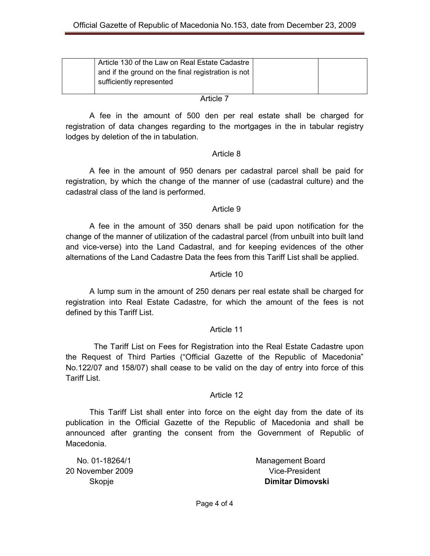| Article 130 of the Law on Real Estate Cadastre     |  |
|----------------------------------------------------|--|
| and if the ground on the final registration is not |  |
| sufficiently represented                           |  |
|                                                    |  |

#### Article 7

A fee in the amount of 500 den per real estate shall be charged for registration of data changes regarding to the mortgages in the in tabular registry lodges by deletion of the in tabulation.

### Article 8

A fee in the amount of 950 denars per cadastral parcel shall be paid for registration, by which the change of the manner of use (cadastral culture) and the cadastral class of the land is performed.

### Article 9

A fee in the amount of 350 denars shall be paid upon notification for the change of the manner of utilization of the cadastral parcel (from unbuilt into built land and vice-verse) into the Land Cadastral, and for keeping evidences of the other alternations of the Land Cadastre Data the fees from this Tariff List shall be applied.

### Article 10

A lump sum in the amount of 250 denars per real estate shall be charged for registration into Real Estate Cadastre, for which the amount of the fees is not defined by this Tariff List.

### Article 11

 The Tariff List on Fees for Registration into the Real Estate Cadastre upon the Request of Third Parties ("Official Gazette of the Republic of Macedonia" No.122/07 and 158/07) shall cease to be valid on the day of entry into force of this Tariff List.

### Article 12

This Tariff List shall enter into force on the eight day from the date of its publication in the Official Gazette of the Republic of Macedonia and shall be announced after granting the consent from the Government of Republic of Macedonia.

20 November 2009 Vice-President

 No. 01-18264/1 Management Board Skopje **Dimitar Dimovski**